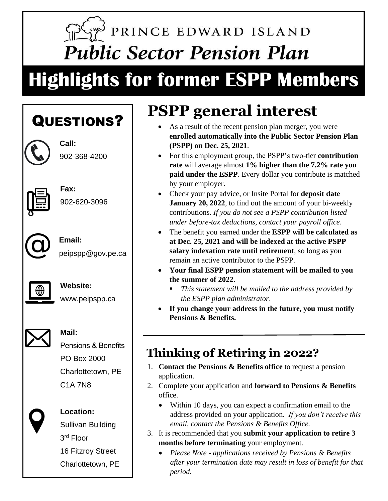# PRINCE EDWARD ISLAND **Public Sector Pension Plan**

# **Highlights for former ESPP Members**

### QUESTIONS?



**Call:** 902-368-4200



**Fax:** 902-620-3096



**Email:** peipspp@gov.pe.ca



#### **Website:**

www.peipspp.ca



#### **Mail:**

Pensions & Benefits PO Box 2000 Charlottetown, PE C1A 7N8



### **Location:**

Sullivan Building 3 rd Floor 16 Fitzroy Street Charlottetown, PE

# **PSPP general interest**

- As a result of the recent pension plan merger, you were **enrolled automatically into the Public Sector Pension Plan (PSPP) on Dec. 25, 2021**.
- For this employment group, the PSPP's two-tier **contribution rate** will average almost **1% higher than the 7.2% rate you paid under the ESPP**. Every dollar you contribute is matched by your employer.
- Check your pay advice, or Insite Portal for **deposit date January 20, 2022**, to find out the amount of your bi-weekly contributions. *If you do not see a PSPP contribution listed under before-tax deductions, contact your payroll office*.
- The benefit you earned under the **ESPP will be calculated as at Dec. 25, 2021 and will be indexed at the active PSPP salary indexation rate until retirement**, so long as you remain an active contributor to the PSPP.
- **Your final ESPP pension statement will be mailed to you the summer of 2022**.
	- This statement will be mailed to the address provided by *the ESPP plan administrator*.
- **If you change your address in the future, you must notify Pensions & Benefits.**

### **Thinking of Retiring in 2022?**

- 1. **Contact the Pensions & Benefits office** to request a pension application.
- 2. Complete your application and **forward to Pensions & Benefits** office.
	- Within 10 days, you can expect a confirmation email to the address provided on your application*. If you don't receive this email, contact the Pensions & Benefits Office.*
- 3. It is recommended that you **submit your application to retire 3 months before terminating** your employment.
	- *Please Note - applications received by Pensions & Benefits after your termination date may result in loss of benefit for that period.*